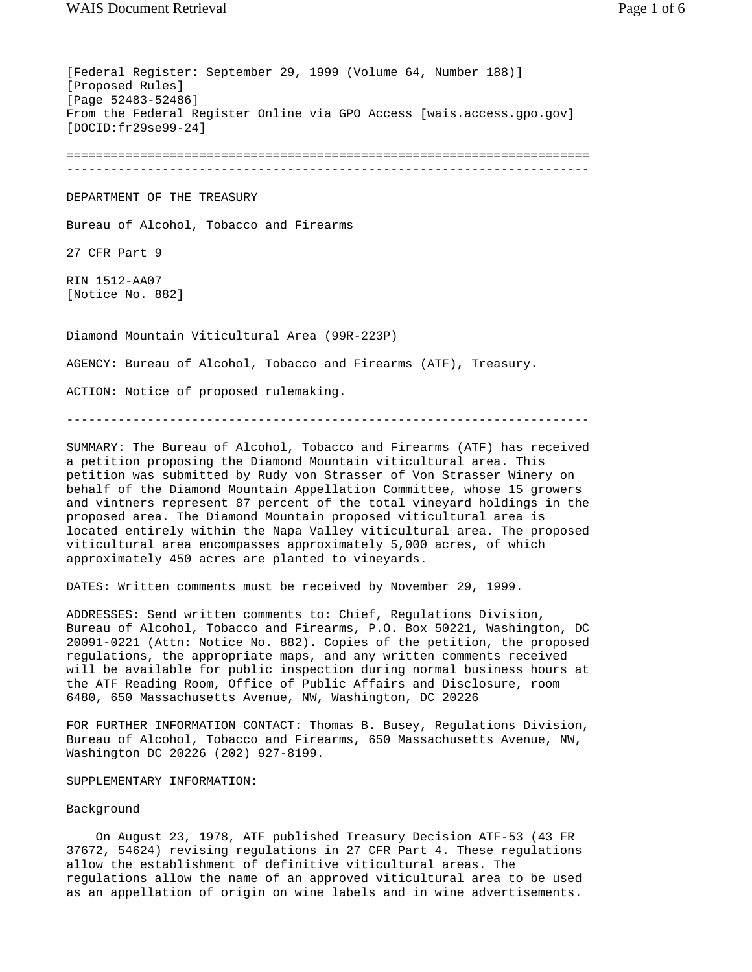[Federal Register: September 29, 1999 (Volume 64, Number 188)] [Proposed Rules] [Page 52483-52486] From the Federal Register Online via GPO Access [wais.access.gpo.gov] [DOCID:fr29se99-24] ======================================================================= ----------------------------------------------------------------------- DEPARTMENT OF THE TREASURY Bureau of Alcohol, Tobacco and Firearms 27 CFR Part 9 RIN 1512-AA07 [Notice No. 882] Diamond Mountain Viticultural Area (99R-223P) AGENCY: Bureau of Alcohol, Tobacco and Firearms (ATF), Treasury. ACTION: Notice of proposed rulemaking.

-----------------------------------------------------------------------

SUMMARY: The Bureau of Alcohol, Tobacco and Firearms (ATF) has received a petition proposing the Diamond Mountain viticultural area. This petition was submitted by Rudy von Strasser of Von Strasser Winery on behalf of the Diamond Mountain Appellation Committee, whose 15 growers and vintners represent 87 percent of the total vineyard holdings in the proposed area. The Diamond Mountain proposed viticultural area is located entirely within the Napa Valley viticultural area. The proposed viticultural area encompasses approximately 5,000 acres, of which approximately 450 acres are planted to vineyards.

DATES: Written comments must be received by November 29, 1999.

ADDRESSES: Send written comments to: Chief, Regulations Division, Bureau of Alcohol, Tobacco and Firearms, P.O. Box 50221, Washington, DC 20091-0221 (Attn: Notice No. 882). Copies of the petition, the proposed regulations, the appropriate maps, and any written comments received will be available for public inspection during normal business hours at the ATF Reading Room, Office of Public Affairs and Disclosure, room 6480, 650 Massachusetts Avenue, NW, Washington, DC 20226

FOR FURTHER INFORMATION CONTACT: Thomas B. Busey, Regulations Division, Bureau of Alcohol, Tobacco and Firearms, 650 Massachusetts Avenue, NW, Washington DC 20226 (202) 927-8199.

SUPPLEMENTARY INFORMATION:

#### Background

 On August 23, 1978, ATF published Treasury Decision ATF-53 (43 FR 37672, 54624) revising regulations in 27 CFR Part 4. These regulations allow the establishment of definitive viticultural areas. The regulations allow the name of an approved viticultural area to be used as an appellation of origin on wine labels and in wine advertisements.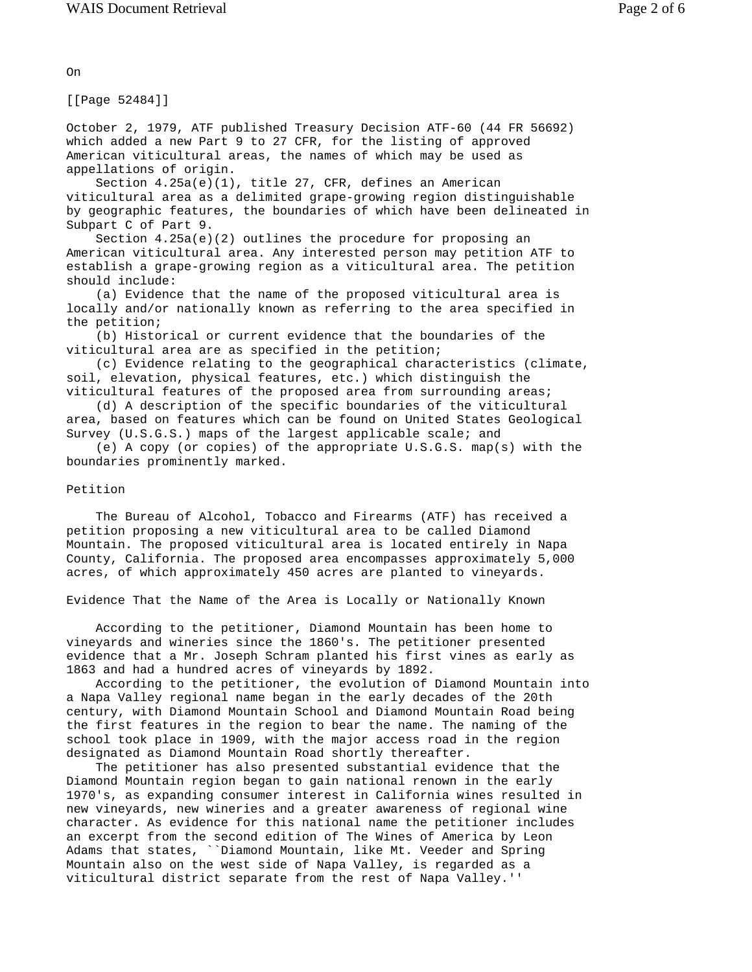On

[[Page 52484]]

October 2, 1979, ATF published Treasury Decision ATF-60 (44 FR 56692) which added a new Part 9 to 27 CFR, for the listing of approved American viticultural areas, the names of which may be used as appellations of origin.

 Section 4.25a(e)(1), title 27, CFR, defines an American viticultural area as a delimited grape-growing region distinguishable by geographic features, the boundaries of which have been delineated in Subpart C of Part 9.

Section  $4.25a(e)(2)$  outlines the procedure for proposing an American viticultural area. Any interested person may petition ATF to establish a grape-growing region as a viticultural area. The petition should include:

 (a) Evidence that the name of the proposed viticultural area is locally and/or nationally known as referring to the area specified in the petition;

 (b) Historical or current evidence that the boundaries of the viticultural area are as specified in the petition;

 (c) Evidence relating to the geographical characteristics (climate, soil, elevation, physical features, etc.) which distinguish the viticultural features of the proposed area from surrounding areas;

 (d) A description of the specific boundaries of the viticultural area, based on features which can be found on United States Geological Survey (U.S.G.S.) maps of the largest applicable scale; and

 (e) A copy (or copies) of the appropriate U.S.G.S. map(s) with the boundaries prominently marked.

#### Petition

 The Bureau of Alcohol, Tobacco and Firearms (ATF) has received a petition proposing a new viticultural area to be called Diamond Mountain. The proposed viticultural area is located entirely in Napa County, California. The proposed area encompasses approximately 5,000 acres, of which approximately 450 acres are planted to vineyards.

Evidence That the Name of the Area is Locally or Nationally Known

 According to the petitioner, Diamond Mountain has been home to vineyards and wineries since the 1860's. The petitioner presented evidence that a Mr. Joseph Schram planted his first vines as early as 1863 and had a hundred acres of vineyards by 1892.

 According to the petitioner, the evolution of Diamond Mountain into a Napa Valley regional name began in the early decades of the 20th century, with Diamond Mountain School and Diamond Mountain Road being the first features in the region to bear the name. The naming of the school took place in 1909, with the major access road in the region designated as Diamond Mountain Road shortly thereafter.

 The petitioner has also presented substantial evidence that the Diamond Mountain region began to gain national renown in the early 1970's, as expanding consumer interest in California wines resulted in new vineyards, new wineries and a greater awareness of regional wine character. As evidence for this national name the petitioner includes an excerpt from the second edition of The Wines of America by Leon Adams that states, ``Diamond Mountain, like Mt. Veeder and Spring Mountain also on the west side of Napa Valley, is regarded as a viticultural district separate from the rest of Napa Valley.''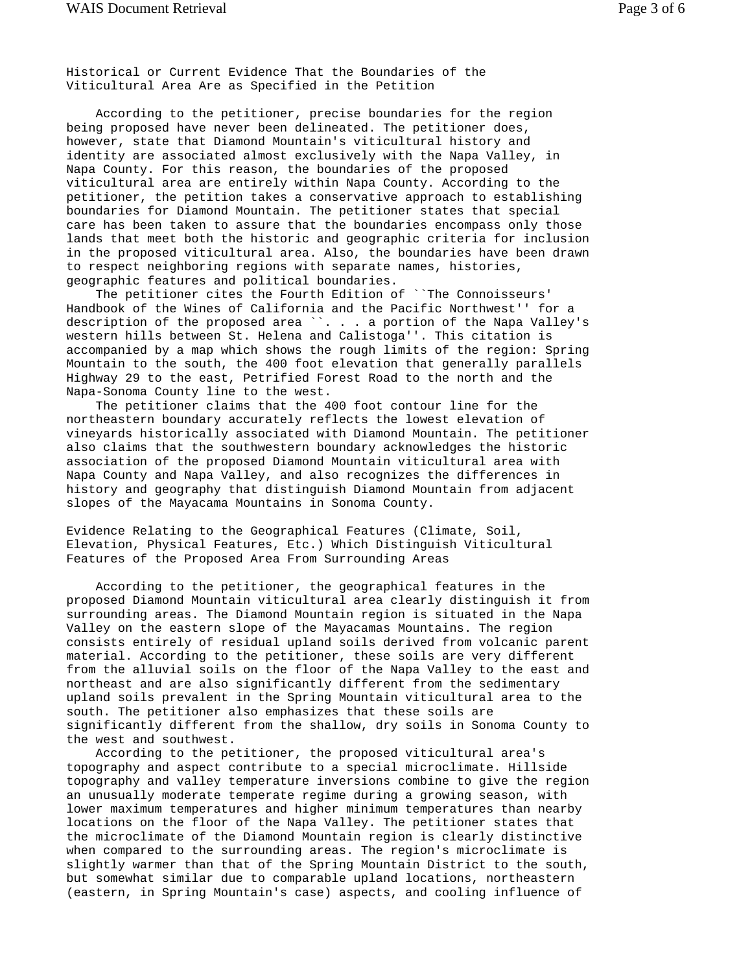Historical or Current Evidence That the Boundaries of the Viticultural Area Are as Specified in the Petition

 According to the petitioner, precise boundaries for the region being proposed have never been delineated. The petitioner does, however, state that Diamond Mountain's viticultural history and identity are associated almost exclusively with the Napa Valley, in Napa County. For this reason, the boundaries of the proposed viticultural area are entirely within Napa County. According to the petitioner, the petition takes a conservative approach to establishing boundaries for Diamond Mountain. The petitioner states that special care has been taken to assure that the boundaries encompass only those lands that meet both the historic and geographic criteria for inclusion in the proposed viticultural area. Also, the boundaries have been drawn to respect neighboring regions with separate names, histories, geographic features and political boundaries.

 The petitioner cites the Fourth Edition of ``The Connoisseurs' Handbook of the Wines of California and the Pacific Northwest'' for a description of the proposed area ``. . . a portion of the Napa Valley's western hills between St. Helena and Calistoga''. This citation is accompanied by a map which shows the rough limits of the region: Spring Mountain to the south, the 400 foot elevation that generally parallels Highway 29 to the east, Petrified Forest Road to the north and the Napa-Sonoma County line to the west.

 The petitioner claims that the 400 foot contour line for the northeastern boundary accurately reflects the lowest elevation of vineyards historically associated with Diamond Mountain. The petitioner also claims that the southwestern boundary acknowledges the historic association of the proposed Diamond Mountain viticultural area with Napa County and Napa Valley, and also recognizes the differences in history and geography that distinguish Diamond Mountain from adjacent slopes of the Mayacama Mountains in Sonoma County.

Evidence Relating to the Geographical Features (Climate, Soil, Elevation, Physical Features, Etc.) Which Distinguish Viticultural Features of the Proposed Area From Surrounding Areas

 According to the petitioner, the geographical features in the proposed Diamond Mountain viticultural area clearly distinguish it from surrounding areas. The Diamond Mountain region is situated in the Napa Valley on the eastern slope of the Mayacamas Mountains. The region consists entirely of residual upland soils derived from volcanic parent material. According to the petitioner, these soils are very different from the alluvial soils on the floor of the Napa Valley to the east and northeast and are also significantly different from the sedimentary upland soils prevalent in the Spring Mountain viticultural area to the south. The petitioner also emphasizes that these soils are significantly different from the shallow, dry soils in Sonoma County to the west and southwest.

 According to the petitioner, the proposed viticultural area's topography and aspect contribute to a special microclimate. Hillside topography and valley temperature inversions combine to give the region an unusually moderate temperate regime during a growing season, with lower maximum temperatures and higher minimum temperatures than nearby locations on the floor of the Napa Valley. The petitioner states that the microclimate of the Diamond Mountain region is clearly distinctive when compared to the surrounding areas. The region's microclimate is slightly warmer than that of the Spring Mountain District to the south, but somewhat similar due to comparable upland locations, northeastern (eastern, in Spring Mountain's case) aspects, and cooling influence of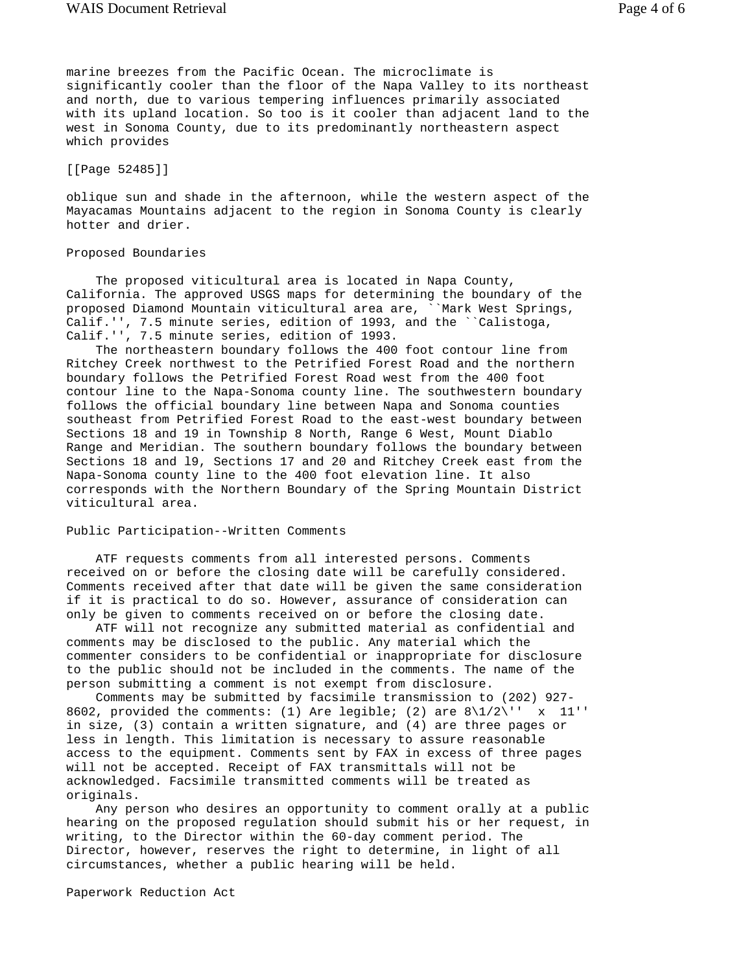marine breezes from the Pacific Ocean. The microclimate is significantly cooler than the floor of the Napa Valley to its northeast and north, due to various tempering influences primarily associated with its upland location. So too is it cooler than adjacent land to the west in Sonoma County, due to its predominantly northeastern aspect which provides

[[Page 52485]]

oblique sun and shade in the afternoon, while the western aspect of the Mayacamas Mountains adjacent to the region in Sonoma County is clearly hotter and drier.

## Proposed Boundaries

 The proposed viticultural area is located in Napa County, California. The approved USGS maps for determining the boundary of the proposed Diamond Mountain viticultural area are, ``Mark West Springs, Calif.'', 7.5 minute series, edition of 1993, and the ``Calistoga, Calif.'', 7.5 minute series, edition of 1993.

 The northeastern boundary follows the 400 foot contour line from Ritchey Creek northwest to the Petrified Forest Road and the northern boundary follows the Petrified Forest Road west from the 400 foot contour line to the Napa-Sonoma county line. The southwestern boundary follows the official boundary line between Napa and Sonoma counties southeast from Petrified Forest Road to the east-west boundary between Sections 18 and 19 in Township 8 North, Range 6 West, Mount Diablo Range and Meridian. The southern boundary follows the boundary between Sections 18 and l9, Sections 17 and 20 and Ritchey Creek east from the Napa-Sonoma county line to the 400 foot elevation line. It also corresponds with the Northern Boundary of the Spring Mountain District viticultural area.

## Public Participation--Written Comments

 ATF requests comments from all interested persons. Comments received on or before the closing date will be carefully considered. Comments received after that date will be given the same consideration if it is practical to do so. However, assurance of consideration can only be given to comments received on or before the closing date.

 ATF will not recognize any submitted material as confidential and comments may be disclosed to the public. Any material which the commenter considers to be confidential or inappropriate for disclosure to the public should not be included in the comments. The name of the person submitting a comment is not exempt from disclosure.

 Comments may be submitted by facsimile transmission to (202) 927- 8602, provided the comments: (1) Are legible; (2) are  $8\frac{1}{2}\$  x 11'' in size, (3) contain a written signature, and (4) are three pages or less in length. This limitation is necessary to assure reasonable access to the equipment. Comments sent by FAX in excess of three pages will not be accepted. Receipt of FAX transmittals will not be acknowledged. Facsimile transmitted comments will be treated as originals.

 Any person who desires an opportunity to comment orally at a public hearing on the proposed regulation should submit his or her request, in writing, to the Director within the 60-day comment period. The Director, however, reserves the right to determine, in light of all circumstances, whether a public hearing will be held.

Paperwork Reduction Act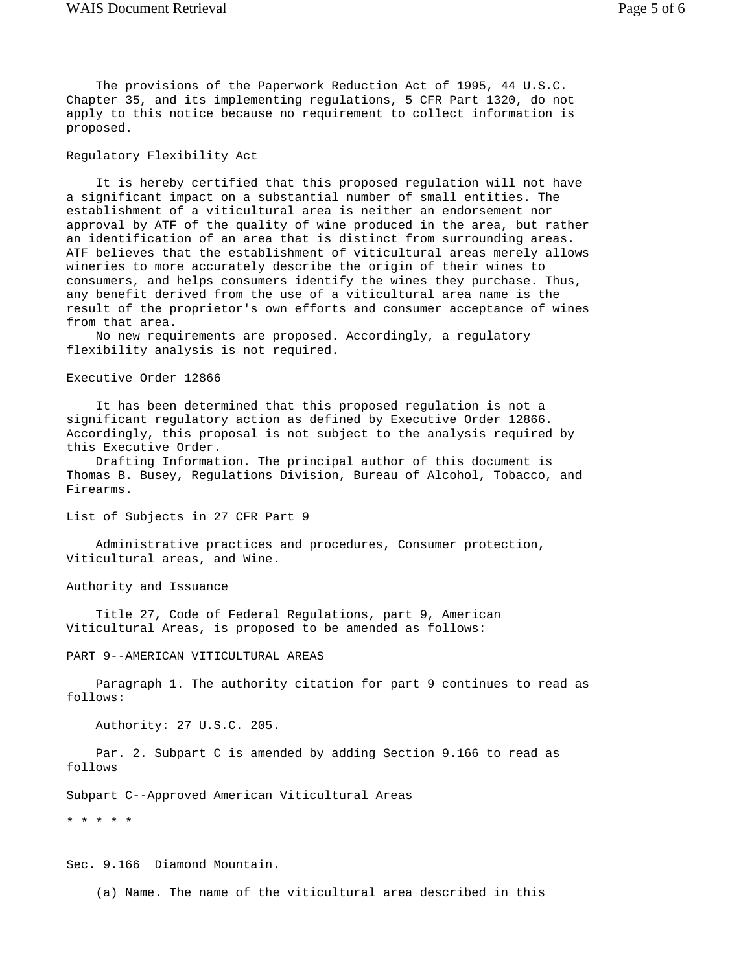The provisions of the Paperwork Reduction Act of 1995, 44 U.S.C. Chapter 35, and its implementing regulations, 5 CFR Part 1320, do not apply to this notice because no requirement to collect information is proposed.

# Regulatory Flexibility Act

 It is hereby certified that this proposed regulation will not have a significant impact on a substantial number of small entities. The establishment of a viticultural area is neither an endorsement nor approval by ATF of the quality of wine produced in the area, but rather an identification of an area that is distinct from surrounding areas. ATF believes that the establishment of viticultural areas merely allows wineries to more accurately describe the origin of their wines to consumers, and helps consumers identify the wines they purchase. Thus, any benefit derived from the use of a viticultural area name is the result of the proprietor's own efforts and consumer acceptance of wines from that area.

 No new requirements are proposed. Accordingly, a regulatory flexibility analysis is not required.

Executive Order 12866

 It has been determined that this proposed regulation is not a significant regulatory action as defined by Executive Order 12866. Accordingly, this proposal is not subject to the analysis required by this Executive Order.

 Drafting Information. The principal author of this document is Thomas B. Busey, Regulations Division, Bureau of Alcohol, Tobacco, and Firearms.

List of Subjects in 27 CFR Part 9

 Administrative practices and procedures, Consumer protection, Viticultural areas, and Wine.

Authority and Issuance

 Title 27, Code of Federal Regulations, part 9, American Viticultural Areas, is proposed to be amended as follows:

PART 9--AMERICAN VITICULTURAL AREAS

 Paragraph 1. The authority citation for part 9 continues to read as follows:

Authority: 27 U.S.C. 205.

 Par. 2. Subpart C is amended by adding Section 9.166 to read as follows

Subpart C--Approved American Viticultural Areas

\* \* \* \* \*

Sec. 9.166 Diamond Mountain.

(a) Name. The name of the viticultural area described in this